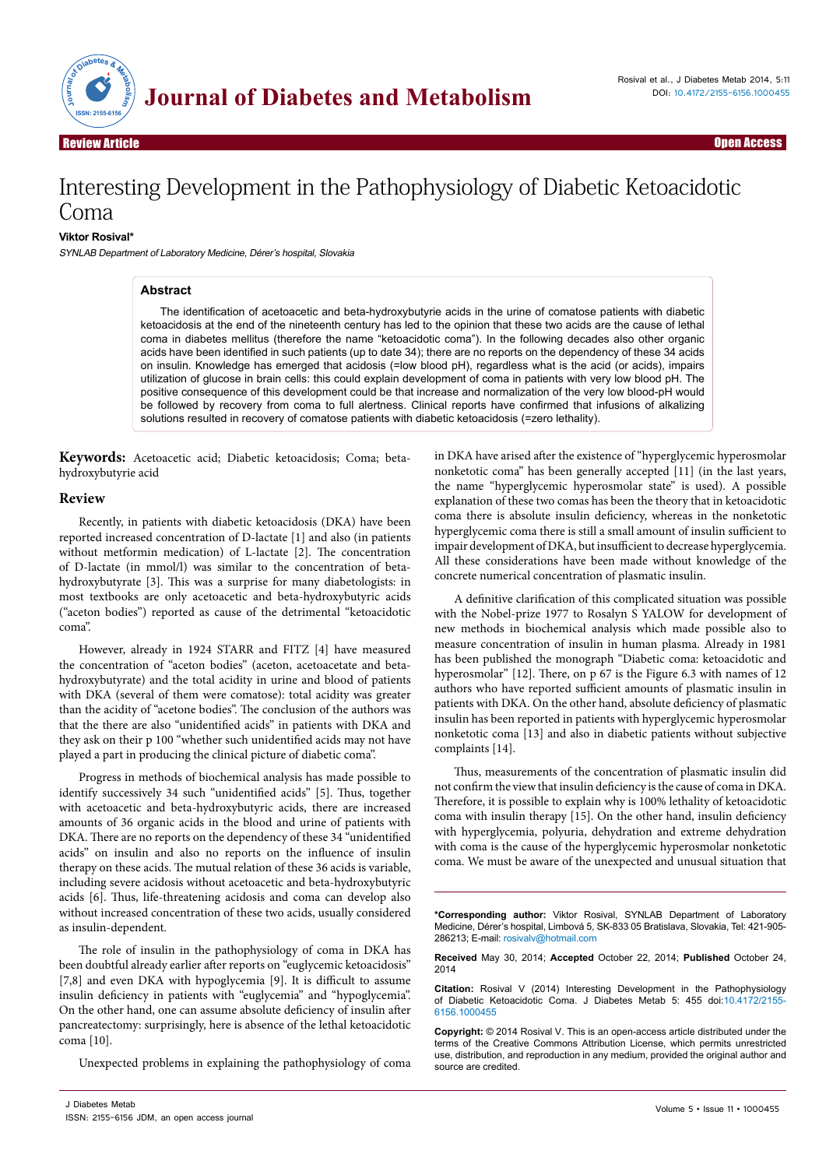

Review Article

# Interesting Development in the Pathophysiology of Diabetic Ketoacidotic Coma

### **Viktor Rosival\***

SYNLAB Department of Laboratory Medicine, Dérer's hospital, Slovakia

#### **Abstract**

The identification of acetoacetic and beta-hydroxybutyrie acids in the urine of comatose patients with diabetic ketoacidosis at the end of the nineteenth century has led to the opinion that these two acids are the cause of lethal coma in diabetes mellitus (therefore the name "ketoacidotic coma"). In the following decades also other organic acids have been identified in such patients (up to date 34); there are no reports on the dependency of these 34 acids on insulin. Knowledge has emerged that acidosis (=low blood pH), regardless what is the acid (or acids), impairs utilization of glucose in brain cells: this could explain development of coma in patients with very low blood pH. The positive consequence of this development could be that increase and normalization of the very low blood-pH would be followed by recovery from coma to full alertness. Clinical reports have confirmed that infusions of alkalizing solutions resulted in recovery of comatose patients with diabetic ketoacidosis (=zero lethality).

**Keywords:** Acetoacetic acid; Diabetic ketoacidosis; Coma; betahydroxybutyrie acid

## **Review**

Recently, in patients with diabetic ketoacidosis (DKA) have been reported increased concentration of D-lactate [1] and also (in patients without metformin medication) of L-lactate [2]. The concentration of D-lactate (in mmol/l) was similar to the concentration of betahydroxybutyrate [3]. This was a surprise for many diabetologists: in most textbooks are only acetoacetic and beta-hydroxybutyric acids ("aceton bodies") reported as cause of the detrimental "ketoacidotic coma".

However, already in 1924 STARR and FITZ [4] have measured the concentration of "aceton bodies" (aceton, acetoacetate and betahydroxybutyrate) and the total acidity in urine and blood of patients with DKA (several of them were comatose): total acidity was greater than the acidity of "acetone bodies". The conclusion of the authors was that the there are also "unidentified acids" in patients with DKA and they ask on their p 100 "whether such unidentified acids may not have played a part in producing the clinical picture of diabetic coma".

Progress in methods of biochemical analysis has made possible to identify successively 34 such "unidentified acids" [5]. Thus, together with acetoacetic and beta-hydroxybutyric acids, there are increased amounts of 36 organic acids in the blood and urine of patients with DKA. There are no reports on the dependency of these 34 "unidentified acids" on insulin and also no reports on the influence of insulin therapy on these acids. The mutual relation of these 36 acids is variable, including severe acidosis without acetoacetic and beta-hydroxybutyric acids [6]. Thus, life-threatening acidosis and coma can develop also without increased concentration of these two acids, usually considered as insulin-dependent.

The role of insulin in the pathophysiology of coma in DKA has been doubtful already earlier after reports on "euglycemic ketoacidosis" [7,8] and even DKA with hypoglycemia [9]. It is difficult to assume insulin deficiency in patients with "euglycemia" and "hypoglycemia". On the other hand, one can assume absolute deficiency of insulin after pancreatectomy: surprisingly, here is absence of the lethal ketoacidotic coma [10].

Unexpected problems in explaining the pathophysiology of coma

in DKA have arised after the existence of "hyperglycemic hyperosmolar nonketotic coma" has been generally accepted [11] (in the last years, the name "hyperglycemic hyperosmolar state" is used). A possible explanation of these two comas has been the theory that in ketoacidotic coma there is absolute insulin deficiency, whereas in the nonketotic hyperglycemic coma there is still a small amount of insulin sufficient to impair development of DKA, but insufficient to decrease hyperglycemia. All these considerations have been made without knowledge of the concrete numerical concentration of plasmatic insulin.

A definitive clarification of this complicated situation was possible with the Nobel-prize 1977 to Rosalyn S YALOW for development of new methods in biochemical analysis which made possible also to measure concentration of insulin in human plasma. Already in 1981 has been published the monograph "Diabetic coma: ketoacidotic and hyperosmolar" [12]. There, on p 67 is the Figure 6.3 with names of 12 authors who have reported sufficient amounts of plasmatic insulin in patients with DKA. On the other hand, absolute deficiency of plasmatic insulin has been reported in patients with hyperglycemic hyperosmolar nonketotic coma [13] and also in diabetic patients without subjective complaints [14].

Thus, measurements of the concentration of plasmatic insulin did not confirm the view that insulin deficiency is the cause of coma in DKA. Therefore, it is possible to explain why is 100% lethality of ketoacidotic coma with insulin therapy [15]. On the other hand, insulin deficiency with hyperglycemia, polyuria, dehydration and extreme dehydration with coma is the cause of the hyperglycemic hyperosmolar nonketotic coma. We must be aware of the unexpected and unusual situation that

**\*Corresponding author:** Viktor Rosival, SYNLAB Department of Laboratory Medicine, Dérer's hospital, Limbová 5, SK-833 05 Bratislava, Slovakia, Tel: 421-905- 286213; E-mail: rosivalv@hotmail.com

**Received** May 30, 2014; **Accepted** October 22, 2014; **Published** October 24, 2014

**Citation:** Rosival V (2014) Interesting Development in the Pathophysiology of Diabetic Ketoacidotic Coma. J Diabetes Metab 5: 455 doi:10.4172/2155- 6156.1000455

**Copyright:** © 2014 Rosival V. This is an open-access article distributed under the terms of the Creative Commons Attribution License, which permits unrestricted use, distribution, and reproduction in any medium, provided the original author and source are credited.